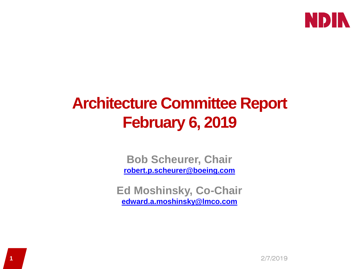

# **Architecture Committee Report February 6, 2019**

**Bob Scheurer, Chair [robert.p.scheurer@boeing.com](mailto:robert.p.scheurer@boeing.com)**

**Ed Moshinsky, Co-Chair [edward.a.moshinsky@lmco.com](mailto:edward.a.moshinsky@lmco.com)**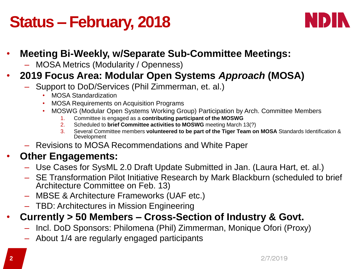# **Status – February, 2018**



### • **Meeting Bi-Weekly, w/Separate Sub-Committee Meetings:**

– MOSA Metrics (Modularity / Openness)

### • **2019 Focus Area: Modular Open Systems** *Approach* **(MOSA)**

- Support to DoD/Services (Phil Zimmerman, et. al.)
	- MOSA Standardization
	- MOSA Requirements on Acquisition Programs
	- MOSWG (Modular Open Systems Working Group) Participation by Arch. Committee Members
		- 1. Committee is engaged as a **contributing participant of the MOSWG**
		- 2. Scheduled to **brief Committee activities to MOSWG** meeting March 13(?)
		- 3. Several Committee members **volunteered to be part of the Tiger Team on MOSA** Standards Identification & Development
- Revisions to MOSA Recommendations and White Paper

#### • **Other Engagements:**

- Use Cases for SysML 2.0 Draft Update Submitted in Jan. (Laura Hart, et. al.)
- SE Transformation Pilot Initiative Research by Mark Blackburn (scheduled to brief Architecture Committee on Feb. 13)
- MBSE & Architecture Frameworks (UAF etc.)
- TBD: Architectures in Mission Engineering

### • **Currently > 50 Members – Cross-Section of Industry & Govt.**

- Incl. DoD Sponsors: Philomena (Phil) Zimmerman, Monique Ofori (Proxy)
- About 1/4 are regularly engaged participants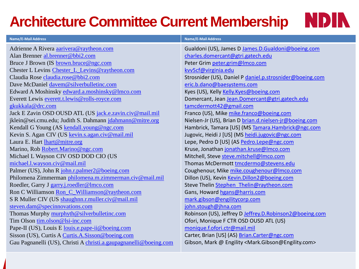## **Architecture Committee Current Membership**



| <b>Name/E-Mail Address</b>                                        | <b>Name/E-Mail Address</b>                                                    |
|-------------------------------------------------------------------|-------------------------------------------------------------------------------|
| Adrienne A Rivera aarivera@raytheon.com                           | Gualdoni (US), James D James.D.Gualdoni@boeing.com                            |
| Alan Brenner al.brenner@bbi2.com                                  | charles.domercant@gtri.gatech.edu                                             |
| Bruce J Brown (IS brown.bruce@ngc.com                             | Peter Grim peter.grim@Imco.com                                                |
| Chester L Levins Chester_L_Levins@raytheon.com                    | kvv5cf@virginia.edu                                                           |
| Claudia Rose claudia.rose@bbi2.com                                | Strosnider (US), Daniel P daniel.p.strosnider@boeing.com                      |
| Dave McDaniel davem@silverbulletinc.com                           | eric.b.dano@baesystems.com                                                    |
| Edward A Moshinsky edward.a.moshinsky@lmco.com                    | Kyes (US), Kelly Kelly.Kyes@boeing.com                                        |
| Everett Lewis everett.t.lewis@rolls-royce.com                     | Domercant, Jean Jean.Domercant@gtri.gatech.edu                                |
| gkukkala@drc.com                                                  | tamcdermott42@gmail.com                                                       |
| Jack E Zavin OSD OUSD ATL (US jack.e.zavin.civ@mail.mil           | Franco (US), Mike mike.franco@boeing.com                                      |
| jklein@sei.cmu.edu; Judith S. Dahmann jdahmann@mitre.org          | Nielsen-Jr (US), Brian D brian.d.nielsen-jr@boeing.com                        |
| Kendall G Young (AS kendall.young@ngc.com                         | Hambrick, Tamara [US] (MS Tamara.Hambrick@ngc.com                             |
| Kevin S. Agan CIV (US kevin.s.agan.civ@mail.mil                   | Jugovic, Heidi J [US] (MS heidi.jugovic@ngc.com                               |
| Laura E. Hart lhart@mitre.org                                     | Lepe, Pedro D [US] (AS Pedro.Lepe@ngc.com                                     |
| Marino, Rob Robert.Marino@ngc.com                                 | Kruse, Jonathan jonathan.kruse@Imco.com                                       |
| Michael L Wayson CIV OSD DOD CIO (US                              | Mitchell, Steve steve.mitchell@Imco.com                                       |
| michael.l.wayson.civ@mail.mil                                     | Thomas McDermott tmcdermo@stevens.edu                                         |
| Palmer (US), John R john.r.palmer2@boeing.com                     | Coughenour, Mike mike.coughenour@Imco.com                                     |
| Philomena Zimmerman philomena.m.zimmerman.civ@mail.mil            | Dillon (US), Kevin Kevin.Dillon2@boeing.com                                   |
| Roedler, Garry J garry.j.roedler@lmco.com                         | Steve Thelin Stephen Thelin@raytheon.com                                      |
| Ron C Williamson Ron_C_Williamson@raytheon.com                    | Gans, Howard hgans@harris.com                                                 |
| S R Muller CIV (US shaughnn.r.muller.civ@mail.mil                 | mark.gibson@engilitycorp.com                                                  |
| steven.dam@specinnovations.com                                    | john.stough@jhna.com                                                          |
| Thomas Murphy murphyth@silverbulletinc.com                        | Robinson (US), Jeffrey D Jeffrey.D.Robinson2@boeing.com                       |
| Tim Olson tim.olson@lsi-inc.com                                   | Ofori, Monique F CTR OSD OUSD ATL (US)                                        |
| Pape-II (US), Louis E louis.e.pape-ii@boeing.com                  | monique.f.ofori.ctr@mail.mil                                                  |
| Sisson (US), Curtis A Curtis.A.Sisson@boeing.com                  | Carter, Brian [US] (AS) Brian.Carter@ngc.com                                  |
| Gau Pagnanelli (US), Christi A christi.a.gaupagnanelli@boeing.com | Gibson, Mark @ Engility <mark.gibson@engility.com></mark.gibson@engility.com> |